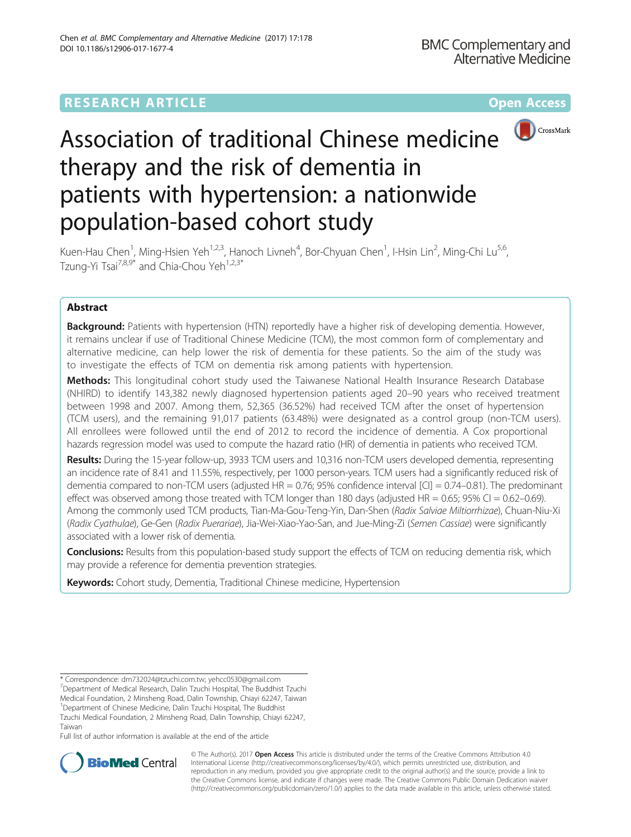## **RESEARCH ARTICLE Example 2014 12:30 The Contract of Contract ACCESS**



# Association of traditional Chinese medicine therapy and the risk of dementia in patients with hypertension: a nationwide population-based cohort study

Kuen-Hau Chen<sup>1</sup>, Ming-Hsien Yeh<sup>1,2,3</sup>, Hanoch Livneh<sup>4</sup>, Bor-Chyuan Chen<sup>1</sup>, I-Hsin Lin<sup>2</sup>, Ming-Chi Lu<sup>5,6</sup>, Tzung-Yi Tsai<sup>7,8,9\*</sup> and Chia-Chou Yeh<sup>1,2,3\*</sup>

## Abstract

**Background:** Patients with hypertension (HTN) reportedly have a higher risk of developing dementia. However, it remains unclear if use of Traditional Chinese Medicine (TCM), the most common form of complementary and alternative medicine, can help lower the risk of dementia for these patients. So the aim of the study was to investigate the effects of TCM on dementia risk among patients with hypertension.

Methods: This longitudinal cohort study used the Taiwanese National Health Insurance Research Database (NHIRD) to identify 143,382 newly diagnosed hypertension patients aged 20–90 years who received treatment between 1998 and 2007. Among them, 52,365 (36.52%) had received TCM after the onset of hypertension (TCM users), and the remaining 91,017 patients (63.48%) were designated as a control group (non-TCM users). All enrollees were followed until the end of 2012 to record the incidence of dementia. A Cox proportional hazards regression model was used to compute the hazard ratio (HR) of dementia in patients who received TCM.

Results: During the 15-year follow-up, 3933 TCM users and 10,316 non-TCM users developed dementia, representing an incidence rate of 8.41 and 11.55%, respectively, per 1000 person-years. TCM users had a significantly reduced risk of dementia compared to non-TCM users (adjusted HR = 0.76; 95% confidence interval [CI] = 0.74–0.81). The predominant effect was observed among those treated with TCM longer than 180 days (adjusted  $HR = 0.65$ ; 95% CI = 0.62–0.69). Among the commonly used TCM products, Tian-Ma-Gou-Teng-Yin, Dan-Shen (Radix Salviae Miltiorrhizae), Chuan-Niu-Xi (Radix Cyathulae), Ge-Gen (Radix Puerariae), Jia-Wei-Xiao-Yao-San, and Jue-Ming-Zi (Semen Cassiae) were significantly associated with a lower risk of dementia.

**Conclusions:** Results from this population-based study support the effects of TCM on reducing dementia risk, which may provide a reference for dementia prevention strategies.

Keywords: Cohort study, Dementia, Traditional Chinese medicine, Hypertension

Tzuchi Medical Foundation, 2 Minsheng Road, Dalin Township, Chiayi 62247, Taiwan

Full list of author information is available at the end of the article



© The Author(s). 2017 **Open Access** This article is distributed under the terms of the Creative Commons Attribution 4.0 International License [\(http://creativecommons.org/licenses/by/4.0/](http://creativecommons.org/licenses/by/4.0/)), which permits unrestricted use, distribution, and reproduction in any medium, provided you give appropriate credit to the original author(s) and the source, provide a link to the Creative Commons license, and indicate if changes were made. The Creative Commons Public Domain Dedication waiver [\(http://creativecommons.org/publicdomain/zero/1.0/](http://creativecommons.org/publicdomain/zero/1.0/)) applies to the data made available in this article, unless otherwise stated.

<sup>\*</sup> Correspondence: [dm732024@tzuchi.com.tw](mailto:dm732024@tzuchi.com.tw); [yehcc0530@gmail.com](mailto:yehcc0530@gmail.com) <sup>7</sup> <sup>7</sup>Department of Medical Research, Dalin Tzuchi Hospital, The Buddhist Tzuchi

Medical Foundation, 2 Minsheng Road, Dalin Township, Chiayi 62247, Taiwan

<sup>&</sup>lt;sup>1</sup>Department of Chinese Medicine, Dalin Tzuchi Hospital, The Buddhist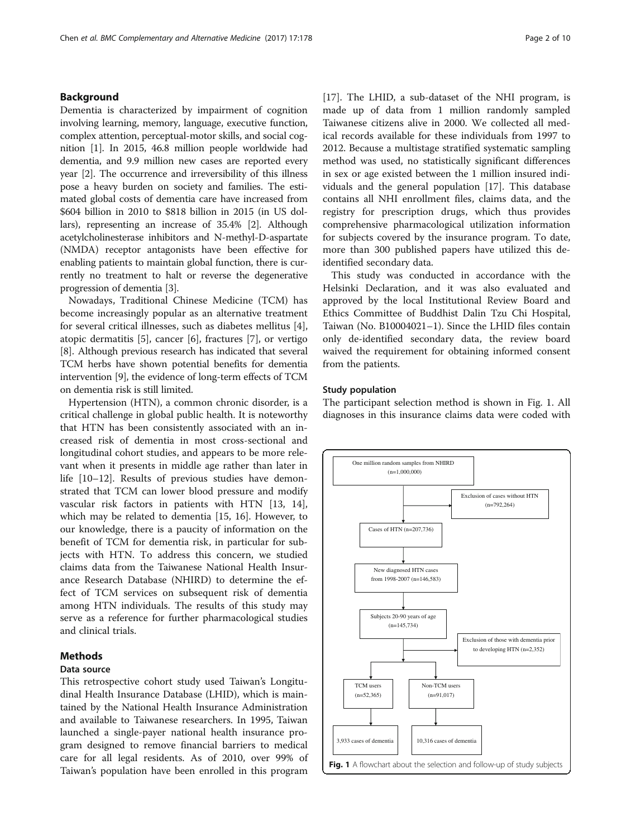### Background

Dementia is characterized by impairment of cognition involving learning, memory, language, executive function, complex attention, perceptual-motor skills, and social cognition [\[1](#page-8-0)]. In 2015, 46.8 million people worldwide had dementia, and 9.9 million new cases are reported every year [\[2\]](#page-8-0). The occurrence and irreversibility of this illness pose a heavy burden on society and families. The estimated global costs of dementia care have increased from \$604 billion in 2010 to \$818 billion in 2015 (in US dollars), representing an increase of 35.4% [[2\]](#page-8-0). Although acetylcholinesterase inhibitors and N-methyl-D-aspartate (NMDA) receptor antagonists have been effective for enabling patients to maintain global function, there is currently no treatment to halt or reverse the degenerative progression of dementia [\[3\]](#page-8-0).

Nowadays, Traditional Chinese Medicine (TCM) has become increasingly popular as an alternative treatment for several critical illnesses, such as diabetes mellitus [\[4](#page-8-0)], atopic dermatitis [[5\]](#page-8-0), cancer [[6\]](#page-8-0), fractures [\[7\]](#page-8-0), or vertigo [[8\]](#page-8-0). Although previous research has indicated that several TCM herbs have shown potential benefits for dementia intervention [[9](#page-8-0)], the evidence of long-term effects of TCM on dementia risk is still limited.

Hypertension (HTN), a common chronic disorder, is a critical challenge in global public health. It is noteworthy that HTN has been consistently associated with an increased risk of dementia in most cross-sectional and longitudinal cohort studies, and appears to be more relevant when it presents in middle age rather than later in life [\[10](#page-8-0)–[12](#page-8-0)]. Results of previous studies have demonstrated that TCM can lower blood pressure and modify vascular risk factors in patients with HTN [\[13](#page-8-0), [14](#page-8-0)], which may be related to dementia [\[15](#page-8-0), [16\]](#page-8-0). However, to our knowledge, there is a paucity of information on the benefit of TCM for dementia risk, in particular for subjects with HTN. To address this concern, we studied claims data from the Taiwanese National Health Insurance Research Database (NHIRD) to determine the effect of TCM services on subsequent risk of dementia among HTN individuals. The results of this study may serve as a reference for further pharmacological studies and clinical trials.

#### Methods

#### Data source

This retrospective cohort study used Taiwan's Longitudinal Health Insurance Database (LHID), which is maintained by the National Health Insurance Administration and available to Taiwanese researchers. In 1995, Taiwan launched a single-payer national health insurance program designed to remove financial barriers to medical care for all legal residents. As of 2010, over 99% of Taiwan's population have been enrolled in this program [[17\]](#page-8-0). The LHID, a sub-dataset of the NHI program, is made up of data from 1 million randomly sampled Taiwanese citizens alive in 2000. We collected all medical records available for these individuals from 1997 to 2012. Because a multistage stratified systematic sampling method was used, no statistically significant differences in sex or age existed between the 1 million insured individuals and the general population [[17\]](#page-8-0). This database contains all NHI enrollment files, claims data, and the registry for prescription drugs, which thus provides comprehensive pharmacological utilization information for subjects covered by the insurance program. To date, more than 300 published papers have utilized this deidentified secondary data.

This study was conducted in accordance with the Helsinki Declaration, and it was also evaluated and approved by the local Institutional Review Board and Ethics Committee of Buddhist Dalin Tzu Chi Hospital, Taiwan (No. B10004021–1). Since the LHID files contain only de-identified secondary data, the review board waived the requirement for obtaining informed consent from the patients.

#### Study population

The participant selection method is shown in Fig. 1. All diagnoses in this insurance claims data were coded with

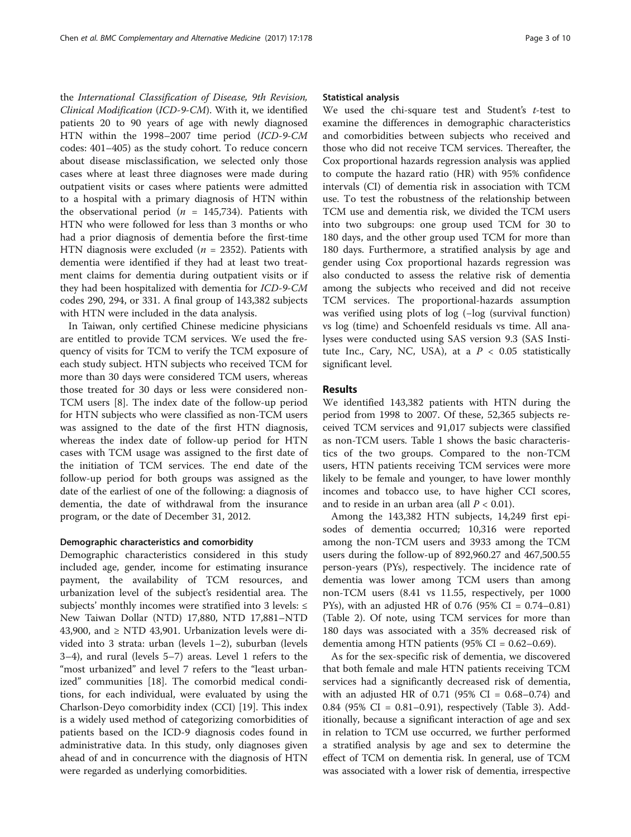the International Classification of Disease, 9th Revision, Clinical Modification (ICD-9-CM). With it, we identified patients 20 to 90 years of age with newly diagnosed HTN within the 1998–2007 time period (ICD-9-CM codes: 401–405) as the study cohort. To reduce concern about disease misclassification, we selected only those cases where at least three diagnoses were made during outpatient visits or cases where patients were admitted to a hospital with a primary diagnosis of HTN within the observational period ( $n = 145,734$ ). Patients with HTN who were followed for less than 3 months or who had a prior diagnosis of dementia before the first-time HTN diagnosis were excluded ( $n = 2352$ ). Patients with dementia were identified if they had at least two treatment claims for dementia during outpatient visits or if they had been hospitalized with dementia for ICD-9-CM codes 290, 294, or 331. A final group of 143,382 subjects with HTN were included in the data analysis.

In Taiwan, only certified Chinese medicine physicians are entitled to provide TCM services. We used the frequency of visits for TCM to verify the TCM exposure of each study subject. HTN subjects who received TCM for more than 30 days were considered TCM users, whereas those treated for 30 days or less were considered non-TCM users [[8\]](#page-8-0). The index date of the follow-up period for HTN subjects who were classified as non-TCM users was assigned to the date of the first HTN diagnosis, whereas the index date of follow-up period for HTN cases with TCM usage was assigned to the first date of the initiation of TCM services. The end date of the follow-up period for both groups was assigned as the date of the earliest of one of the following: a diagnosis of dementia, the date of withdrawal from the insurance program, or the date of December 31, 2012.

#### Demographic characteristics and comorbidity

Demographic characteristics considered in this study included age, gender, income for estimating insurance payment, the availability of TCM resources, and urbanization level of the subject's residential area. The subjects' monthly incomes were stratified into 3 levels: ≤ New Taiwan Dollar (NTD) 17,880, NTD 17,881–NTD 43,900, and  $\geq$  NTD 43,901. Urbanization levels were divided into 3 strata: urban (levels 1–2), suburban (levels 3–4), and rural (levels 5–7) areas. Level 1 refers to the "most urbanized" and level 7 refers to the "least urbanized" communities [[18](#page-8-0)]. The comorbid medical conditions, for each individual, were evaluated by using the Charlson-Deyo comorbidity index (CCI) [[19\]](#page-8-0). This index is a widely used method of categorizing [comorbidities](http://mchp-appserv.cpe.umanitoba.ca/viewDefinition.php?definitionID=102446) of patients based on the ICD-9 diagnosis codes found in administrative data. In this study, only diagnoses given ahead of and in concurrence with the diagnosis of HTN were regarded as underlying comorbidities.

#### Statistical analysis

We used the chi-square test and Student's  $t$ -test to examine the differences in demographic characteristics and comorbidities between subjects who received and those who did not receive TCM services. Thereafter, the Cox proportional hazards regression analysis was applied to compute the hazard ratio (HR) with 95% confidence intervals (CI) of dementia risk in association with TCM use. To test the robustness of the relationship between TCM use and dementia risk, we divided the TCM users into two subgroups: one group used TCM for 30 to 180 days, and the other group used TCM for more than 180 days. Furthermore, a stratified analysis by age and gender using Cox proportional hazards regression was also conducted to assess the relative risk of dementia among the subjects who received and did not receive TCM services. The proportional-hazards assumption was verified using plots of log (−log (survival function) vs log (time) and Schoenfeld residuals vs time. All analyses were conducted using SAS version 9.3 (SAS Institute Inc., Cary, NC, USA), at a  $P < 0.05$  statistically significant level.

#### Results

We identified 143,382 patients with HTN during the period from 1998 to 2007. Of these, 52,365 subjects received TCM services and 91,017 subjects were classified as non-TCM users. Table [1](#page-3-0) shows the basic characteristics of the two groups. Compared to the non-TCM users, HTN patients receiving TCM services were more likely to be female and younger, to have lower monthly incomes and tobacco use, to have higher CCI scores, and to reside in an urban area (all  $P < 0.01$ ).

Among the 143,382 HTN subjects, 14,249 first episodes of dementia occurred; 10,316 were reported among the non-TCM users and 3933 among the TCM users during the follow-up of 892,960.27 and 467,500.55 person-years (PYs), respectively. The incidence rate of dementia was lower among TCM users than among non-TCM users (8.41 vs 11.55, respectively, per 1000 PYs), with an adjusted HR of 0.76 (95% CI =  $0.74-0.81$ ) (Table [2](#page-3-0)). Of note, using TCM services for more than 180 days was associated with a 35% decreased risk of dementia among HTN patients  $(95\% \text{ CI} = 0.62{\text -}0.69)$ .

As for the sex-specific risk of dementia, we discovered that both female and male HTN patients receiving TCM services had a significantly decreased risk of dementia, with an adjusted HR of 0.71 (95% CI =  $0.68 - 0.74$ ) and 0.84 (95% CI = 0.81–0.91), respectively (Table [3](#page-4-0)). Additionally, because a significant interaction of age and sex in relation to TCM use occurred, we further performed a stratified analysis by age and sex to determine the effect of TCM on dementia risk. In general, use of TCM was associated with a lower risk of dementia, irrespective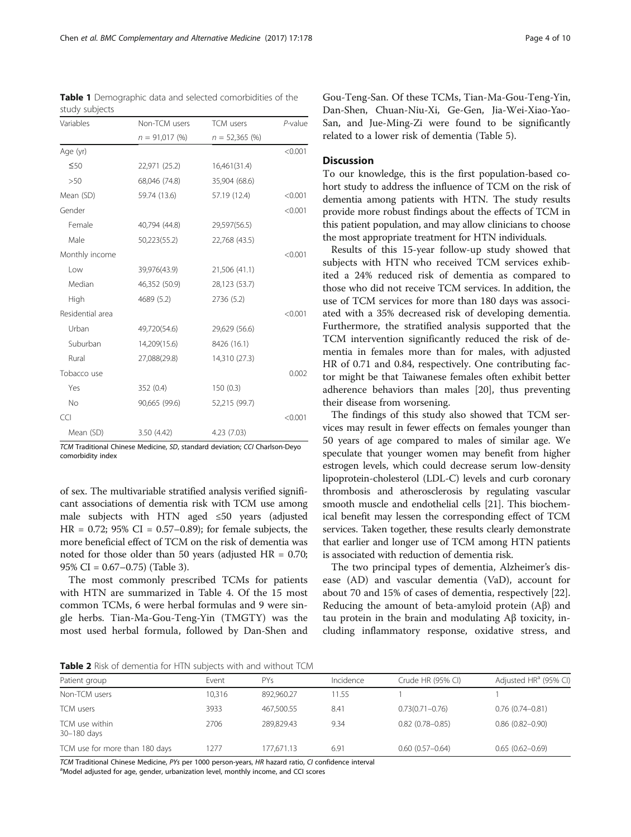TCM Traditional Chinese Medicine, SD, standard deviation; CCI Charlson-Deyo comorbidity index

of sex. The multivariable stratified analysis verified significant associations of dementia risk with TCM use among male subjects with HTN aged ≤50 years (adjusted  $HR = 0.72$ ; 95% CI = 0.57–0.89); for female subjects, the more beneficial effect of TCM on the risk of dementia was noted for those older than 50 years (adjusted  $HR = 0.70$ ; 95% CI = 0.67–0.75) (Table [3](#page-4-0)).

The most commonly prescribed TCMs for patients with HTN are summarized in Table [4](#page-5-0). Of the 15 most common TCMs, 6 were herbal formulas and 9 were single herbs. Tian-Ma-Gou-Teng-Yin (TMGTY) was the most used herbal formula, followed by Dan-Shen and Gou-Teng-San. Of these TCMs, Tian-Ma-Gou-Teng-Yin, Dan-Shen, Chuan-Niu-Xi, Ge-Gen, Jia-Wei-Xiao-Yao-San, and Jue-Ming-Zi were found to be significantly related to a lower risk of dementia (Table [5](#page-7-0)).

#### **Discussion**

To our knowledge, this is the first population-based cohort study to address the influence of TCM on the risk of dementia among patients with HTN. The study results provide more robust findings about the effects of TCM in this patient population, and may allow clinicians to choose the most appropriate treatment for HTN individuals.

Results of this 15-year follow-up study showed that subjects with HTN who received TCM services exhibited a 24% reduced risk of dementia as compared to those who did not receive TCM services. In addition, the use of TCM services for more than 180 days was associated with a 35% decreased risk of developing dementia. Furthermore, the stratified analysis supported that the TCM intervention significantly reduced the risk of dementia in females more than for males, with adjusted HR of 0.71 and 0.84, respectively. One contributing factor might be that Taiwanese females often exhibit better adherence behaviors than males [[20](#page-8-0)], thus preventing their disease from worsening.

The findings of this study also showed that TCM services may result in fewer effects on females younger than 50 years of age compared to males of similar age. We speculate that younger women may benefit from higher estrogen levels, which could decrease serum low-density lipoprotein-cholesterol (LDL-C) levels and curb coronary thrombosis and atherosclerosis by regulating vascular smooth muscle and endothelial cells [[21](#page-8-0)]. This biochemical benefit may lessen the corresponding effect of TCM services. Taken together, these results clearly demonstrate that earlier and longer use of TCM among HTN patients is associated with reduction of dementia risk.

The two principal types of dementia, Alzheimer's disease (AD) and vascular dementia (VaD), account for about 70 and 15% of cases of dementia, respectively [\[22](#page-8-0)]. Reducing the amount of beta-amyloid protein (Aβ) and tau protein in the brain and modulating Aβ toxicity, including inflammatory response, oxidative stress, and

Table 2 Risk of dementia for HTN subjects with and without TCM

| Patient group                  | Event  | <b>PYs</b> | Incidence | Crude HR (95% CI)   | Adjusted HR <sup>a</sup> (95% CI) |
|--------------------------------|--------|------------|-----------|---------------------|-----------------------------------|
| Non-TCM users                  | 10.316 | 892.960.27 | 11.55     |                     |                                   |
| <b>TCM</b> users               | 3933   | 467.500.55 | 8.41      | $0.73(0.71 - 0.76)$ | $0.76(0.74 - 0.81)$               |
| TCM use within<br>30-180 days  | 2706   | 289.829.43 | 9.34      | $0.82(0.78 - 0.85)$ | $0.86(0.82 - 0.90)$               |
| TCM use for more than 180 days | 1277   | 177.671.13 | 6.91      | $0.60(0.57 - 0.64)$ | $0.65(0.62 - 0.69)$               |

TCM Traditional Chinese Medicine, PYs per 1000 person-years, HR hazard ratio, CI confidence interval

aModel adjusted for age, gender, urbanization level, monthly income, and CCI scores

<span id="page-3-0"></span>Table 1 Demographic data and selected comorbidities of the

Variables Non-TCM users TCM users P-value

study subjects

|                  | $n = 91,017(%)$ | $n = 52,365$ (%) |         |
|------------------|-----------------|------------------|---------|
| Age (yr)         |                 |                  | < 0.001 |
| $\leq 50$        | 22,971 (25.2)   | 16,461(31.4)     |         |
| >50              | 68,046 (74.8)   | 35,904 (68.6)    |         |
| Mean (SD)        | 59.74 (13.6)    | 57.19 (12.4)     | < 0.001 |
| Gender           |                 |                  | < 0.001 |
| Female           | 40,794 (44.8)   | 29,597(56.5)     |         |
| Male             | 50,223(55.2)    | 22,768 (43.5)    |         |
| Monthly income   |                 |                  | < 0.001 |
| Low              | 39,976(43.9)    | 21,506 (41.1)    |         |
| Median           | 46,352 (50.9)   | 28,123 (53.7)    |         |
| High             | 4689 (5.2)      | 2736 (5.2)       |         |
| Residential area |                 |                  | < 0.001 |
| Urban            | 49,720(54.6)    | 29,629 (56.6)    |         |
| Suburban         | 14,209(15.6)    | 8426 (16.1)      |         |
| Rural            | 27,088(29.8)    | 14,310 (27.3)    |         |
| Tobacco use      |                 |                  | 0.002   |
| Yes              | 352 (0.4)       | 150(0.3)         |         |
| No               | 90,665 (99.6)   | 52,215 (99.7)    |         |
| CCI              |                 |                  | < 0.001 |
| Mean (SD)        | 3.50 (4.42)     | 4.23 (7.03)      |         |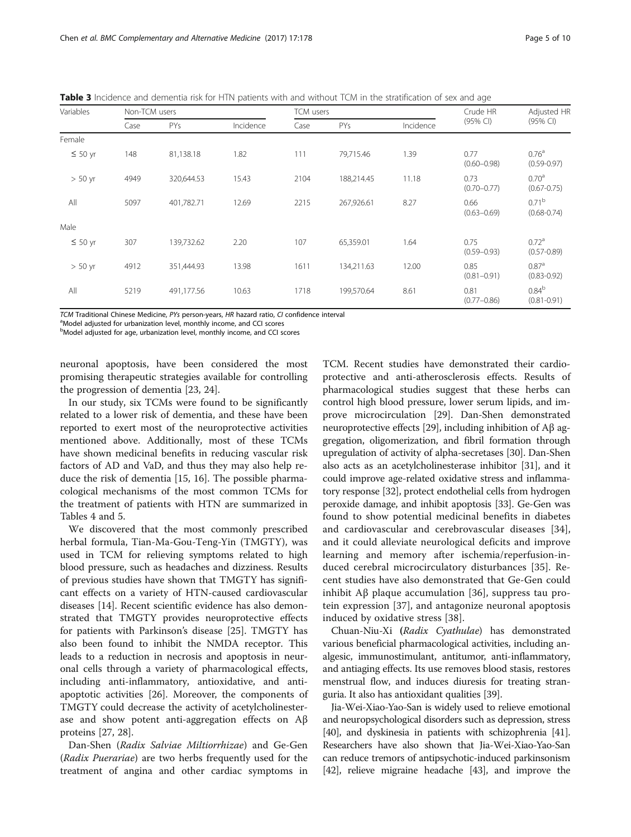<span id="page-4-0"></span>Table 3 Incidence and dementia risk for HTN patients with and without TCM in the stratification of sex and age

| Variables    |      | Non-TCM users |           |      | <b>TCM</b> users |           |                         | Adjusted HR                          |
|--------------|------|---------------|-----------|------|------------------|-----------|-------------------------|--------------------------------------|
| Case         |      | PYs           | Incidence | Case | <b>PYs</b>       | Incidence | (95% CI)                | (95% CI)                             |
| Female       |      |               |           |      |                  |           |                         |                                      |
| $\leq 50$ yr | 148  | 81,138.18     | 1.82      | 111  | 79,715.46        | 1.39      | 0.77<br>$(0.60 - 0.98)$ | 0.76 <sup>a</sup><br>$(0.59 - 0.97)$ |
| $> 50$ yr    | 4949 | 320,644.53    | 15.43     | 2104 | 188,214.45       | 11.18     | 0.73<br>$(0.70 - 0.77)$ | 0.70 <sup>a</sup><br>$(0.67 - 0.75)$ |
| All          | 5097 | 401,782.71    | 12.69     | 2215 | 267,926.61       | 8.27      | 0.66<br>$(0.63 - 0.69)$ | 0.71 <sup>b</sup><br>$(0.68 - 0.74)$ |
| Male         |      |               |           |      |                  |           |                         |                                      |
| $\leq 50$ yr | 307  | 139,732.62    | 2.20      | 107  | 65,359.01        | 1.64      | 0.75<br>$(0.59 - 0.93)$ | 0.72 <sup>a</sup><br>$(0.57 - 0.89)$ |
| $> 50$ yr    | 4912 | 351,444.93    | 13.98     | 1611 | 134,211.63       | 12.00     | 0.85<br>$(0.81 - 0.91)$ | 0.87 <sup>a</sup><br>$(0.83 - 0.92)$ |
| All          | 5219 | 491,177.56    | 10.63     | 1718 | 199,570.64       | 8.61      | 0.81<br>$(0.77 - 0.86)$ | 0.84 <sup>b</sup><br>$(0.81 - 0.91)$ |

TCM Traditional Chinese Medicine, PYs person-years, HR hazard ratio, CI confidence interval

<sup>a</sup>Model adjusted for urbanization level, monthly income, and CCI scores

<sup>b</sup>Model adjusted for age, urbanization level, monthly income, and CCI scores

neuronal apoptosis, have been considered the most promising therapeutic strategies available for controlling the progression of dementia [[23](#page-9-0), [24](#page-9-0)].

In our study, six TCMs were found to be significantly related to a lower risk of dementia, and these have been reported to exert most of the neuroprotective activities mentioned above. Additionally, most of these TCMs have shown medicinal benefits in reducing vascular risk factors of AD and VaD, and thus they may also help reduce the risk of dementia [[15, 16\]](#page-8-0). The possible pharmacological mechanisms of the most common TCMs for the treatment of patients with HTN are summarized in Tables [4](#page-5-0) and [5](#page-7-0).

We discovered that the most commonly prescribed herbal formula, Tian-Ma-Gou-Teng-Yin (TMGTY), was used in TCM for relieving symptoms related to high blood pressure, such as headaches and dizziness. Results of previous studies have shown that TMGTY has significant effects on a variety of HTN-caused cardiovascular diseases [\[14](#page-8-0)]. Recent scientific evidence has also demonstrated that TMGTY provides neuroprotective effects for patients with Parkinson's disease [[25](#page-9-0)]. TMGTY has also been found to inhibit the NMDA receptor. This leads to a reduction in necrosis and apoptosis in neuronal cells through a variety of pharmacological effects, including anti-inflammatory, antioxidative, and antiapoptotic activities [\[26](#page-9-0)]. Moreover, the components of TMGTY could decrease the activity of acetylcholinesterase and show potent anti-aggregation effects on Aβ proteins [\[27, 28\]](#page-9-0).

Dan-Shen (Radix Salviae Miltiorrhizae) and Ge-Gen (Radix Puerariae) are two herbs frequently used for the treatment of angina and other cardiac symptoms in TCM. Recent studies have demonstrated their cardioprotective and anti-atherosclerosis effects. Results of pharmacological studies suggest that these herbs can control high blood pressure, lower serum lipids, and improve microcirculation [[29](#page-9-0)]. Dan-Shen demonstrated neuroprotective effects [\[29\]](#page-9-0), including inhibition of Aβ aggregation, oligomerization, and fibril formation through upregulation of activity of alpha-secretases [\[30\]](#page-9-0). Dan-Shen also acts as an acetylcholinesterase inhibitor [\[31\]](#page-9-0), and it could improve age-related oxidative stress and inflammatory response [\[32\]](#page-9-0), protect endothelial cells from hydrogen peroxide damage, and inhibit apoptosis [\[33](#page-9-0)]. Ge-Gen was found to show potential medicinal benefits in diabetes and cardiovascular and cerebrovascular diseases [\[34](#page-9-0)], and it could alleviate neurological deficits and improve learning and memory after ischemia/reperfusion-induced cerebral microcirculatory disturbances [[35\]](#page-9-0). Recent studies have also demonstrated that Ge-Gen could inhibit Aβ plaque accumulation [[36\]](#page-9-0), suppress tau protein expression [\[37](#page-9-0)], and antagonize neuronal apoptosis induced by oxidative stress [\[38](#page-9-0)].

Chuan-Niu-Xi (Radix Cyathulae) has demonstrated various beneficial pharmacological activities, including analgesic, immunostimulant, antitumor, anti-inflammatory, and antiaging effects. Its use removes blood stasis, restores menstrual flow, and induces diuresis for treating stranguria. It also has antioxidant qualities [\[39](#page-9-0)].

Jia-Wei-Xiao-Yao-San is widely used to relieve emotional and neuropsychological disorders such as depression, stress [[40](#page-9-0)], and dyskinesia in patients with schizophrenia [\[41](#page-9-0)]. Researchers have also shown that Jia-Wei-Xiao-Yao-San can reduce tremors of antipsychotic-induced parkinsonism [[42](#page-9-0)], relieve migraine headache [\[43\]](#page-9-0), and improve the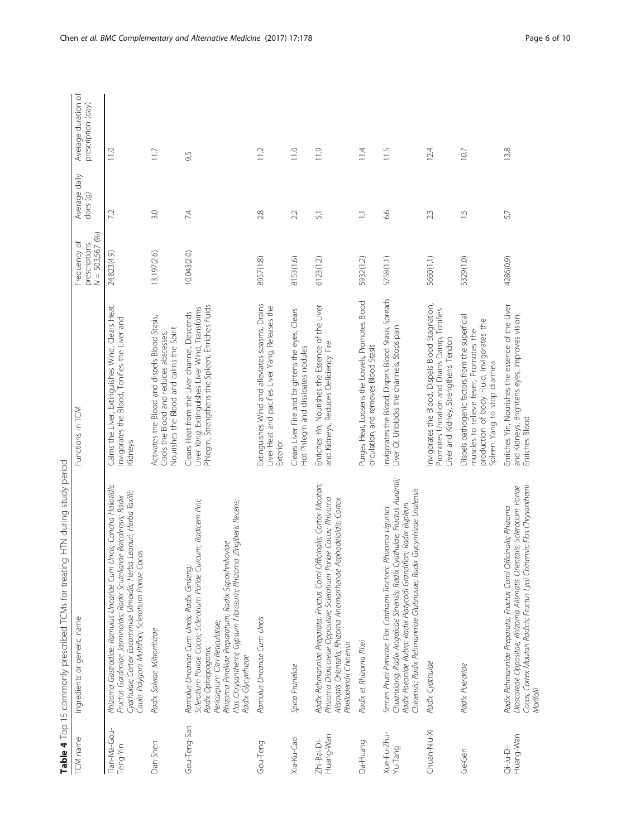| İ<br>ζ<br>I<br>١                              |
|-----------------------------------------------|
| $\sim$<br>S<br>j<br>ì                         |
| ì<br>J<br>5                                   |
|                                               |
| )<br>-<br>$\mathfrak{h}$<br>J<br>J<br>į<br>Ĭ. |
| )<br>$\frac{1}{2}$<br>.<br>;<br>;             |
| うり<br>ĺ<br>j                                  |
| ここりょうこう こうりょうろう                               |
| I                                             |
| S<br>$\frac{1}{2}$<br>ŀ                       |
| 4<br>į<br>ŕ                                   |

<span id="page-5-0"></span>

| TCM name                 | Ingredients or generic name                                                                                                                                                                                                                                                                                           | Functions in TCM                                                                                                                                                       | $N = 503,567(96)$<br>Frequency of<br>prescriptions | Average daily<br>does (g) | Average duration of<br>prescription (day) |
|--------------------------|-----------------------------------------------------------------------------------------------------------------------------------------------------------------------------------------------------------------------------------------------------------------------------------------------------------------------|------------------------------------------------------------------------------------------------------------------------------------------------------------------------|----------------------------------------------------|---------------------------|-------------------------------------------|
| Tian-Ma-Gou-<br>Teng-Yin | Uncis; Concha Haliotidis;<br>Cyathulae; Cortex Eucommiae Ulmoidis; Herba Leonuri; Herba Taxilli;<br>Fructus Gardeniae Jasminoidis; Radix Scutellariae Baicalensis; Radix<br>Caulis Polygoni Multiflori; Sclerotium Poriae Cocos<br>Rhizoma Gastrodiae; Ramulus Uncariae Cum                                           | Calms the Liver, Extinguishes Wind, Clears Heat,<br>nvigorates the Blood, Tonifies the Liver and<br>Kidneys                                                            | 24,823(4.9)                                        | 72                        | 11.0                                      |
| Dan-Shen                 | Radix Salviae Miltiorrhizae                                                                                                                                                                                                                                                                                           | Activates the Blood and dispels Blood Stasis,<br>Nourishes the Blood and calms the Spirit<br>Cools the Blood and reduces abscesses,                                    | 13,197(2.6)                                        | 3.0                       | 11.7                                      |
| Gou-Teng-San             | Sclerotium Poriae Cocos; Sclerotium Poriae Curcum; Radicem Pini;<br>Flos Chrysanthemi; Gypsum Fibrosum; Rhizoma Zingiberis Recens;<br>Rhizoma Pinelliae Preparatum; Radix Saposhnikoviae<br>Ramulus Uncariae Cum Uncis; Radix Ginseng;<br>Pericarpium Citri Reticulatae;<br>Radix Ophiopogonis;<br>Radix Glycyrrhizae | Phlegm, Strengthens the Spleen, Enriches fluids<br>Liver Yang, Extinguishes Liver Wind, Transforms<br>Clears Heat from the Liver channel, Descends                     | 10,043(2.0)                                        | 74                        | 9.5                                       |
| Gou-Teng                 | Ramulus Uncariae Cum Uncis                                                                                                                                                                                                                                                                                            | Extinquishes Wind and alleviates spasms, Drains<br>Liver Heat and pacifies Liver Yang, Releases the<br>Exterior                                                        | 8957(1.8)                                          | 2.8                       | 11.2                                      |
| Xia-Ku-Cao               | Spica Prunellae                                                                                                                                                                                                                                                                                                       | Clears Liver Fire and brightens the eyes, Clears<br>Hot Phlegm and dissipates nodules                                                                                  | 8153(1.6)                                          | 2.2                       | 11.0                                      |
| Huang-Wan<br>Zhi-Bai-Di- | Radix Rehmanniae Preparata; Fructus Corni Officinalis; Cortex Moutan;<br>Rhizoma Dioscoreae Oppositae; Sclerotium Poriae Cocos; Rhizoma<br>Alismatis Orientalis; Rhizoma Anemarrhenae Asphodeloidis; Cortex<br>Phellodendri Chinensis                                                                                 | Enriches Yin, Nourishes the Essence of the Liver<br>and Kidneys, Reduces Deficiency Fire                                                                               | 6123(1.2)                                          | $\overline{51}$           | 11.9                                      |
| Da-Huang                 | Radix et Rhizoma Rhei                                                                                                                                                                                                                                                                                                 | Purges Heat, Loosens the bowels, Promotes Blood<br>circulation, and removes Blood Stasis                                                                               | 5932(1.2)                                          | $\overline{\Box}$         | 11.4                                      |
| Xue-Fu-Zhu-<br>Yu-Tang   | Chuanxiong; Radix Angelicae Sinensis; Radix Cyathulae; Fructus Aurantii;<br>Chinensis; Radix Rehmanniae Glutinosae; Radix Glycyrrhizae Uralensis<br>Radix Paeoniae Rubra; Radix Platycodi Grandiflori; Radix Bupleuri<br>Rhizoma Ligustici<br>Semen Pruni Persicae; Flos Carthami Tinctorii;                          | Invigorates the Blood, Dispels Blood Stasis, Spreads<br>Liver Qi, Unblocks the channels, Stops pain                                                                    | 5758(1.1)                                          | 6.6                       | 11.5                                      |
| Chuan-Niu-Xi             | Radix Cyathulae                                                                                                                                                                                                                                                                                                       | nvigorates the Blood, Dispels Blood Stagnation,<br>Promotes Urination and Drains Damp, Tonifies<br>Liver and Kidney, Strengthens Tendon                                | 5660(1.1)                                          | 23                        | 12.4                                      |
| Ge-Gen                   | Radix Puerariae                                                                                                                                                                                                                                                                                                       | Dispels pathogenic factors from the superficial<br>production of body Fluid, Invigorates the<br>muscles to relieve fever, Promotes the<br>Spleen Yang to stop diarrhea | 5329(1.0)                                          | $\frac{5}{1}$             | 10.7                                      |
| Huang-Wan<br>$Qi-Ju-Fi$  | Dioscoreae Oppositae; Rhizoma Alismatis Orientalis; Sclerotium Poriae<br>Cocos; Cortex Moutan Radicis; Fructus Lycii Chinensis; Flos Chrysanthemi<br>Radix Rehmanniae Preparata; Fructus Corni Officinalis; Rhizoma<br>Morifolii                                                                                      | Enriches Yin, Nourishes the essence of the Liver<br>and Kidneys, Brightens eyes, improves vision,<br>Enriches Blood                                                    | 4286(0.9)                                          | 5.7                       | 13.8                                      |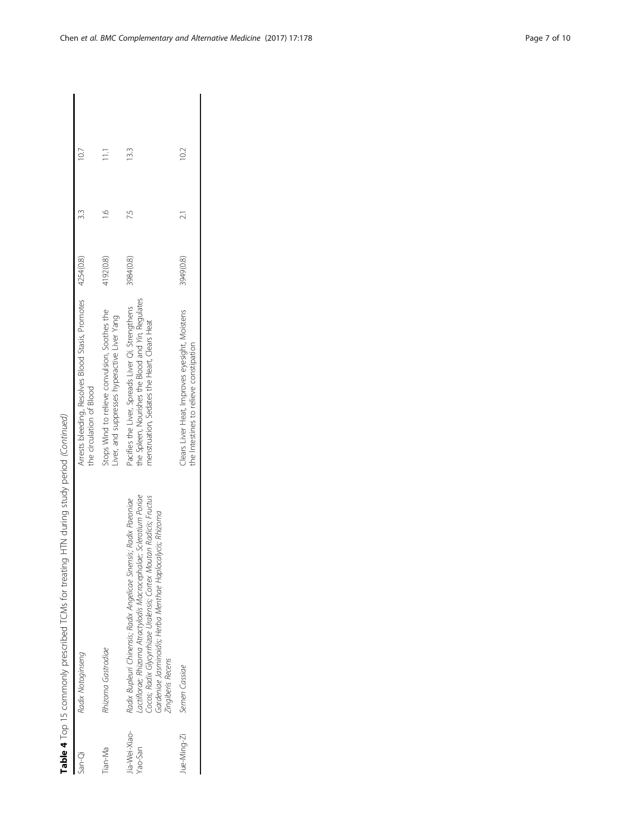| San-Qi                   | Radix Notoginseng                                                                                                                                                                                                                                                                                 | Arrests bleeding, Resolves Blood Stasis, Promotes 4254(0.8)<br>the circulation of Blood                                                                 |           | 10.7           |
|--------------------------|---------------------------------------------------------------------------------------------------------------------------------------------------------------------------------------------------------------------------------------------------------------------------------------------------|---------------------------------------------------------------------------------------------------------------------------------------------------------|-----------|----------------|
| Tian-Ma                  | Rhizoma Gastrodiae                                                                                                                                                                                                                                                                                | Stops Wind to relieve convulsion, Soothes the<br>iver, and suppresses hyperactive Liver Yang                                                            | 4192(0.8) | $\Xi$          |
| Jia-Wei-Xiao-<br>Yao-San | actiflorae; Rhizoma Atractylodis Macrocephalae; Sclerotium Poriae<br>Cocos; Radix Glycyrrhizae Uralensis; Cortex Moutan Radicis; Fructus<br>Radix Bupleuri Chinensis; Radix Angelicae Sinensis; Radix Paeoniae<br>Gardeniae Jasminoidis; Herba Menthae Haplocalycis; Rhizoma<br>Zingiberis Recens | the Spleen, Nourishes the Blood and Yin, Regulates<br>Pacifies the Liver, Spreads Liver Qi, Strengthens<br>menstruation, Sedates the Heart, Clears Heat | 3984(0.8) | $\frac{33}{5}$ |
| Jue-Ming-Zi              | Semen Cassiae                                                                                                                                                                                                                                                                                     | Clears Liver Heat, Improves eyesight, Moistens<br>the Intestines to relieve constipation                                                                | 3949(0.8) | 10.2           |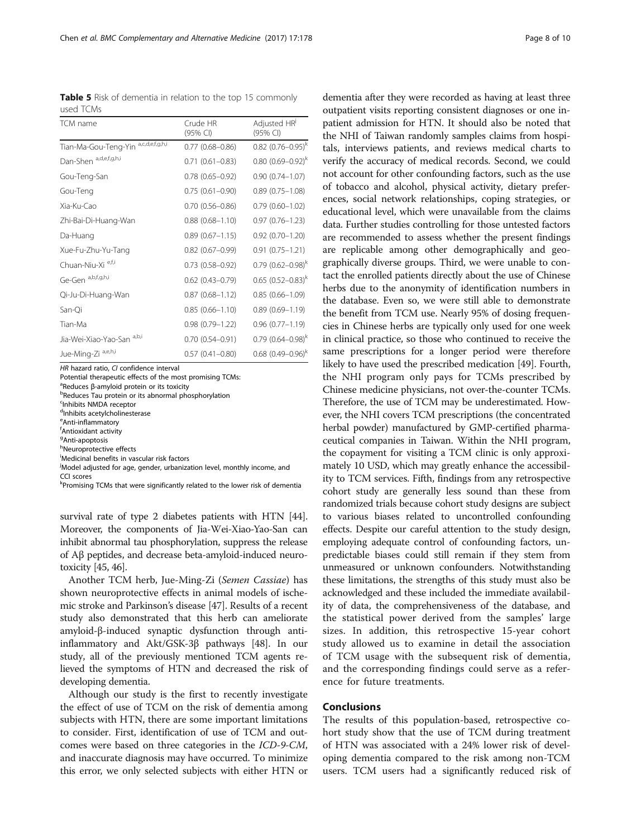HR hazard ratio, CI confidence interval

Potential therapeutic effects of the most promising TCMs:

<sup>a</sup>Reduces β-amyloid protein or its toxicity<br>**bRoduces Tau protein or its abnormal ph**e

**PReduces Tau protein or its abnormal phosphorylation** 

c Inhibits NMDA receptor

<sup>d</sup>Inhibits acetylcholinesterase

<sup>e</sup> Anti-inflammatory

f Antioxidant activity

<sup>g</sup>Anti-apoptosis

hNeuroprotective effects

i Medicinal benefits in vascular risk factors

<sup>j</sup>Model adjusted for age, gender, urbanization level, monthly income, and

CCI scores

kPromising TCMs that were significantly related to the lower risk of dementia

survival rate of type 2 diabetes patients with HTN [[44](#page-9-0)]. Moreover, the components of Jia-Wei-Xiao-Yao-San can inhibit abnormal tau phosphorylation, suppress the release of Aβ peptides, and decrease beta-amyloid-induced neurotoxicity [\[45, 46](#page-9-0)].

Another TCM herb, Jue-Ming-Zi (Semen Cassiae) has shown neuroprotective effects in animal models of ischemic stroke and Parkinson's disease [[47](#page-9-0)]. Results of a recent study also demonstrated that this herb can ameliorate amyloid-β-induced synaptic dysfunction through antiinflammatory and Akt/GSK-3β pathways [\[48](#page-9-0)]. In our study, all of the previously mentioned TCM agents relieved the symptoms of HTN and decreased the risk of developing dementia.

Although our study is the first to recently investigate the effect of use of TCM on the risk of dementia among subjects with HTN, there are some important limitations to consider. First, identification of use of TCM and outcomes were based on three categories in the ICD-9-CM, and inaccurate diagnosis may have occurred. To minimize this error, we only selected subjects with either HTN or

dementia after they were recorded as having at least three outpatient visits reporting consistent diagnoses or one inpatient admission for HTN. It should also be noted that the NHI of Taiwan randomly samples claims from hospitals, interviews patients, and reviews medical charts to verify the accuracy of medical records. Second, we could not account for other confounding factors, such as the use of tobacco and alcohol, physical activity, dietary preferences, social network relationships, coping strategies, or educational level, which were unavailable from the claims data. Further studies controlling for those untested factors are recommended to assess whether the present findings are replicable among other demographically and geographically diverse groups. Third, we were unable to contact the enrolled patients directly about the use of Chinese herbs due to the anonymity of identification numbers in the database. Even so, we were still able to demonstrate the benefit from TCM use. Nearly 95% of dosing frequencies in Chinese herbs are typically only used for one week in clinical practice, so those who continued to receive the same prescriptions for a longer period were therefore likely to have used the prescribed medication [[49](#page-9-0)]. Fourth, the NHI program only pays for TCMs prescribed by Chinese medicine physicians, not over-the-counter TCMs. Therefore, the use of TCM may be underestimated. However, the NHI covers TCM prescriptions (the concentrated herbal powder) manufactured by GMP-certified pharmaceutical companies in Taiwan. Within the NHI program, the copayment for visiting a TCM clinic is only approximately 10 USD, which may greatly enhance the accessibility to TCM services. Fifth, findings from any retrospective cohort study are generally less sound than these from randomized trials because cohort study designs are subject to various biases related to uncontrolled confounding effects. Despite our careful attention to the study design, employing adequate control of confounding factors, unpredictable biases could still remain if they stem from unmeasured or unknown confounders. Notwithstanding these limitations, the strengths of this study must also be acknowledged and these included the immediate availability of data, the comprehensiveness of the database, and the statistical power derived from the samples' large sizes. In addition, this retrospective 15-year cohort study allowed us to examine in detail the association of TCM usage with the subsequent risk of dementia, and the corresponding findings could serve as a reference for future treatments.

#### Conclusions

The results of this population-based, retrospective cohort study show that the use of TCM during treatment of HTN was associated with a 24% lower risk of developing dementia compared to the risk among non-TCM users. TCM users had a significantly reduced risk of

<span id="page-7-0"></span>Table 5 Risk of dementia in relation to the top 15 commonly used TCMs

| used TCMs                               |                        |                                 |
|-----------------------------------------|------------------------|---------------------------------|
| TCM name                                | Crude HR<br>$(95%$ CI) | Adjusted HR<br>$(95%$ CI)       |
| a,c,d,e,f,g,h,i<br>Tian-Ma-Gou-Teng-Yin | $0.77(0.68 - 0.86)$    | $0.82$ (0.76-0.95) <sup>k</sup> |
| Dan-Shen a,d,e,f,g,h,i                  | $0.71(0.61 - 0.83)$    | $0.80~(0.69 - 0.92)^k$          |
| Gou-Teng-San                            | $0.78(0.65 - 0.92)$    | $0.90(0.74 - 1.07)$             |
| Gou-Teng                                | $0.75(0.61 - 0.90)$    | $0.89(0.75 - 1.08)$             |
| Xia-Ku-Cao                              | $0.70(0.56 - 0.86)$    | $0.79(0.60 - 1.02)$             |
| Zhi-Bai-Di-Huang-Wan                    | $0.88(0.68 - 1.10)$    | $0.97(0.76 - 1.23)$             |
| Da-Huang                                | $0.89(0.67 - 1.15)$    | $0.92(0.70 - 1.20)$             |
| Xue-Fu-Zhu-Yu-Tang                      | $0.82$ (0.67-0.99)     | $0.91(0.75 - 1.21)$             |
| Chuan-Niu-Xi e,f,i                      | $0.73(0.58 - 0.92)$    | $0.79(0.62 - 0.98)^k$           |
| Ge-Gen a,b,f,g,h,i                      | $0.62$ $(0.43 - 0.79)$ | $0.65$ (0.52-0.83) <sup>k</sup> |

Qi-Ju-Di-Huang-Wan 0.87 (0.68–1.12) 0.85 (0.66–1.09) San-Qi 0.85 (0.66–1.10) 0.89 (0.69–1.19) Tian-Ma 0.98 (0.79–1.22) 0.96 (0.77–1.19) Jia-Wei-Xiao-Yao-San a,b,i 0.70 (0.54–0.91) 0.79 (0.64–0.98)k Jue-Ming-Zi a,e,h,i 0.57 (0.41–0.80) 0.68  $(0.49-0.96)^k$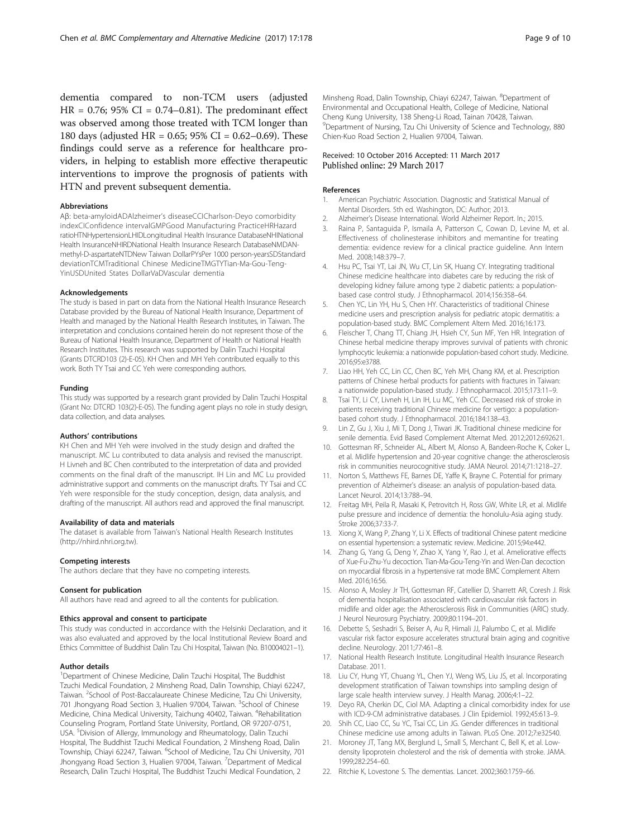<span id="page-8-0"></span>dementia compared to non-TCM users (adjusted  $HR = 0.76$ ; 95% CI = 0.74–0.81). The predominant effect was observed among those treated with TCM longer than 180 days (adjusted HR = 0.65; 95% CI = 0.62–0.69). These findings could serve as a reference for healthcare providers, in helping to establish more effective therapeutic interventions to improve the prognosis of patients with HTN and prevent subsequent dementia.

#### Abbreviations

Aβ: beta-amyloidADAlzheimer's diseaseCCICharlson-Deyo comorbidity indexCIConfidence intervalGMPGood Manufacturing PracticeHRHazard ratioHTNHypertensionLHIDLongitudinal Health Insurance DatabaseNHINational Health InsuranceNHIRDNational Health Insurance Research DatabaseNMDANmethyl-D-aspartateNTDNew Taiwan DollarPYsPer 1000 person-yearsSDStandard deviationTCMTraditional Chinese MedicineTMGTYTian-Ma-Gou-Teng-YinUSDUnited States DollarVaDVascular dementia

#### Acknowledgements

The study is based in part on data from the National Health Insurance Research Database provided by the Bureau of National Health Insurance, Department of Health and managed by the National Health Research Institutes, in Taiwan. The interpretation and conclusions contained herein do not represent those of the Bureau of National Health Insurance, Department of Health or National Health Research Institutes. This research was supported by Dalin Tzuchi Hospital (Grants DTCRD103 (2)-E-05). KH Chen and MH Yeh contributed equally to this work. Both TY Tsai and CC Yeh were corresponding authors.

#### Funding

This study was supported by a research grant provided by Dalin Tzuchi Hospital (Grant No: DTCRD 103(2)-E-05). The funding agent plays no role in study design, data collection, and data analyses.

#### Authors' contributions

KH Chen and MH Yeh were involved in the study design and drafted the manuscript. MC Lu contributed to data analysis and revised the manuscript. H Livneh and BC Chen contributed to the interpretation of data and provided comments on the final draft of the manuscript. IH Lin and MC Lu provided administrative support and comments on the manuscript drafts. TY Tsai and CC Yeh were responsible for the study conception, design, data analysis, and drafting of the manuscript. All authors read and approved the final manuscript.

#### Availability of data and materials

The dataset is available from Taiwan's National Health Research Institutes ([http://nhird.nhri.org.tw\)](http://nhird.nhri.org.tw/).

#### Competing interests

The authors declare that they have no competing interests.

#### Consent for publication

All authors have read and agreed to all the contents for publication.

#### Ethics approval and consent to participate

This study was conducted in accordance with the Helsinki Declaration, and it was also evaluated and approved by the local Institutional Review Board and Ethics Committee of Buddhist Dalin Tzu Chi Hospital, Taiwan (No. B10004021–1).

#### Author details

<sup>1</sup>Department of Chinese Medicine, Dalin Tzuchi Hospital, The Buddhist Tzuchi Medical Foundation, 2 Minsheng Road, Dalin Township, Chiayi 62247, Taiwan. <sup>2</sup>School of Post-Baccalaureate Chinese Medicine, Tzu Chi University, 701 Jhongyang Road Section 3, Hualien 97004, Taiwan. <sup>3</sup>School of Chinese Medicine, China Medical University, Taichung 40402, Taiwan. <sup>4</sup>Rehabilitation Counseling Program, Portland State University, Portland, OR 97207-0751, USA. <sup>5</sup> Division of Allergy, Immunology and Rheumatology, Dalin Tzuchi Hospital, The Buddhist Tzuchi Medical Foundation, 2 Minsheng Road, Dalin Township, Chiayi 62247, Taiwan. <sup>6</sup>School of Medicine, Tzu Chi University, 701 Jhongyang Road Section 3, Hualien 97004, Taiwan. <sup>7</sup>Department of Medical Research, Dalin Tzuchi Hospital, The Buddhist Tzuchi Medical Foundation, 2

Minsheng Road, Dalin Township, Chiayi 62247, Taiwan. <sup>8</sup>Department of Environmental and Occupational Health, College of Medicine, National Cheng Kung University, 138 Sheng-Li Road, Tainan 70428, Taiwan. <sup>9</sup>Department of Nursing, Tzu Chi University of Science and Technology, 880 Chien-Kuo Road Section 2, Hualien 97004, Taiwan.

#### Received: 10 October 2016 Accepted: 11 March 2017 Published online: 29 March 2017

#### References

- 1. American Psychiatric Association. Diagnostic and Statistical Manual of Mental Disorders. 5th ed. Washington, DC: Author; 2013. 2. Alzheimer's Disease International. World Alzheimer Report. In.; 2015.
- 3. Raina P, Santaguida P, Ismaila A, Patterson C, Cowan D, Levine M, et al. Effectiveness of cholinesterase inhibitors and memantine for treating dementia: evidence review for a clinical practice guideline. Ann Intern Med. 2008;148:379–7.
- 4. Hsu PC, Tsai YT, Lai JN, Wu CT, Lin SK, Huang CY. Integrating traditional Chinese medicine healthcare into diabetes care by reducing the risk of developing kidney failure among type 2 diabetic patients: a populationbased case control study. J Ethnopharmacol. 2014;156:358–64.
- 5. Chen YC, Lin YH, Hu S, Chen HY. Characteristics of traditional Chinese medicine users and prescription analysis for pediatric atopic dermatitis: a population-based study. BMC Complement Altern Med. 2016;16:173.
- Fleischer T, Chang TT, Chiang JH, Hsieh CY, Sun MF, Yen HR. Integration of Chinese herbal medicine therapy improves survival of patients with chronic lymphocytic leukemia: a nationwide population-based cohort study. Medicine. 2016;95:e3788.
- 7. Liao HH, Yeh CC, Lin CC, Chen BC, Yeh MH, Chang KM, et al. Prescription patterns of Chinese herbal products for patients with fractures in Taiwan: a nationwide population-based study. J Ethnopharmacol. 2015;173:11–9.
- 8. Tsai TY, Li CY, Livneh H, Lin IH, Lu MC, Yeh CC. Decreased risk of stroke in patients receiving traditional Chinese medicine for vertigo: a populationbased cohort study. J Ethnopharmacol. 2016;184:138–43.
- 9. Lin Z, Gu J, Xiu J, Mi T, Dong J, Tiwari JK. Traditional chinese medicine for senile dementia. Evid Based Complement Alternat Med. 2012;2012:692621.
- 10. Gottesman RF, Schneider AL, Albert M, Alonso A, Bandeen-Roche K, Coker L, et al. Midlife hypertension and 20-year cognitive change: the atherosclerosis risk in communities neurocognitive study. JAMA Neurol. 2014;71:1218–27.
- 11. Norton S, Matthews FE, Barnes DE, Yaffe K, Brayne C. Potential for primary prevention of Alzheimer's disease: an analysis of population-based data. Lancet Neurol. 2014;13:788–94.
- 12. Freitag MH, Peila R, Masaki K, Petrovitch H, Ross GW, White LR, et al. Midlife pulse pressure and incidence of dementia: the honolulu-Asia aging study. Stroke 2006;37:33-7.
- 13. Xiong X, Wang P, Zhang Y, Li X. Effects of traditional Chinese patent medicine on essential hypertension: a systematic review. Medicine. 2015;94:e442.
- 14. Zhang G, Yang G, Deng Y, Zhao X, Yang Y, Rao J, et al. Ameliorative effects of Xue-Fu-Zhu-Yu decoction. Tian-Ma-Gou-Teng-Yin and Wen-Dan decoction on myocardial fibrosis in a hypertensive rat mode BMC Complement Altern Med. 2016;16:56.
- 15. Alonso A, Mosley Jr TH, Gottesman RF, Catellier D, Sharrett AR, Coresh J. Risk of dementia hospitalisation associated with cardiovascular risk factors in midlife and older age: the Atherosclerosis Risk in Communities (ARIC) study. J Neurol Neurosurg Psychiatry. 2009;80:1194–201.
- 16. Debette S, Seshadri S, Beiser A, Au R, Himali JJ, Palumbo C, et al. Midlife vascular risk factor exposure accelerates structural brain aging and cognitive decline. Neurology. 2011;77:461–8.
- 17. National Health Research Institute. Longitudinal Health Insurance Research Database. 2011.
- 18. Liu CY, Hung YT, Chuang YL, Chen YJ, Weng WS, Liu JS, et al. Incorporating development stratification of Taiwan townships into sampling design of large scale health interview survey. J Health Manag. 2006;4:1–22.
- 19. Deyo RA, Cherkin DC, Ciol MA. Adapting a clinical comorbidity index for use with ICD-9-CM administrative databases. J Clin Epidemiol. 1992;45:613–9.
- 20. Shih CC, Liao CC, Su YC, Tsai CC, Lin JG. Gender differences in traditional Chinese medicine use among adults in Taiwan. PLoS One. 2012;7:e32540.
- 21. Moroney JT, Tang MX, Berglund L, Small S, Merchant C, Bell K, et al. Lowdensity lipoprotein cholesterol and the risk of dementia with stroke. JAMA. 1999;282:254–60.
- 22. Ritchie K, Lovestone S. The dementias. Lancet. 2002;360:1759–66.